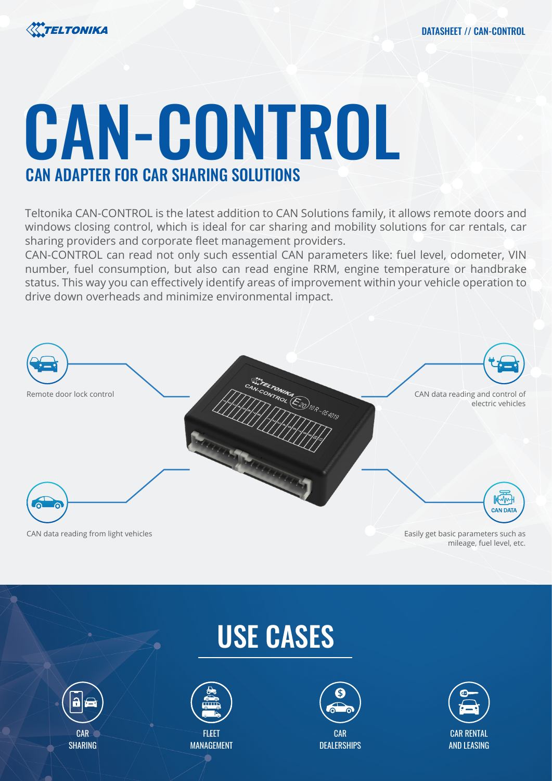

## CAN-CONTROL CAN ADAPTER FOR CAR SHARING SOLUTIONS

Teltonika CAN-CONTROL is the latest addition to CAN Solutions family, it allows remote doors and windows closing control, which is ideal for car sharing and mobility solutions for car rentals, car sharing providers and corporate fleet management providers.

CAN-CONTROL can read not only such essential CAN parameters like: fuel level, odometer, VIN number, fuel consumption, but also can read engine RRM, engine temperature or handbrake status. This way you can effectively identify areas of improvement within your vehicle operation to drive down overheads and minimize environmental impact.



## USE CASES